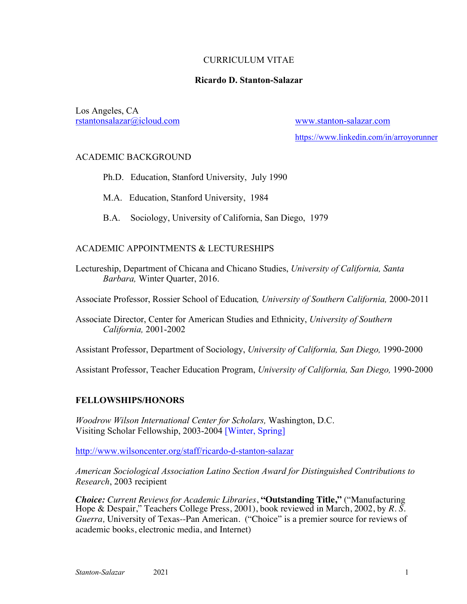### CURRICULUM VITAE

### **Ricardo D. Stanton-Salazar**

Los Angeles, CA rstantonsalazar@icloud.com www.stanton-salazar.com

https://www.linkedin.com/in/arroyorunner

### ACADEMIC BACKGROUND

- Ph.D. Education, Stanford University, July 1990
- M.A. Education, Stanford University, 1984
- B.A. Sociology, University of California, San Diego, 1979

# ACADEMIC APPOINTMENTS & LECTURESHIPS

Lectureship, Department of Chicana and Chicano Studies, *University of California, Santa Barbara,* Winter Quarter, 2016.

Associate Professor, Rossier School of Education*, University of Southern California,* 2000-2011

Associate Director, Center for American Studies and Ethnicity, *University of Southern California,* 2001-2002

Assistant Professor, Department of Sociology, *University of California, San Diego,* 1990-2000

Assistant Professor, Teacher Education Program, *University of California, San Diego,* 1990-2000

# **FELLOWSHIPS/HONORS**

*Woodrow Wilson International Center for Scholars,* Washington, D.C. Visiting Scholar Fellowship, 2003-2004 [Winter, Spring]

http://www.wilsoncenter.org/staff/ricardo-d-stanton-salazar

*American Sociological Association Latino Section Award for Distinguished Contributions to Research*, 2003 recipient

*Choice: Current Reviews for Academic Libraries*, **"Outstanding Title,"** ("Manufacturing Hope & Despair," Teachers College Press, 2001), book reviewed in March, 2002, by *R. S. Guerra,* University of Texas--Pan American. ("Choice" is a premier source for reviews of academic books, electronic media, and Internet)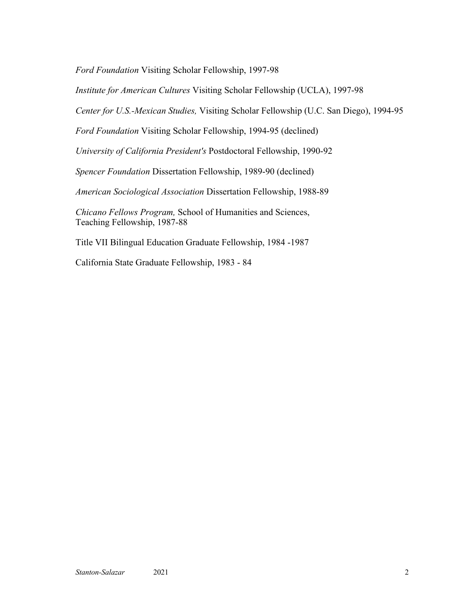*Ford Foundation* Visiting Scholar Fellowship, 1997-98

*Institute for American Cultures* Visiting Scholar Fellowship (UCLA), 1997-98

*Center for U.S.-Mexican Studies,* Visiting Scholar Fellowship (U.C. San Diego), 1994-95

*Ford Foundation* Visiting Scholar Fellowship, 1994-95 (declined)

*University of California President's* Postdoctoral Fellowship, 1990-92

*Spencer Foundation* Dissertation Fellowship, 1989-90 (declined)

*American Sociological Association* Dissertation Fellowship, 1988-89

*Chicano Fellows Program,* School of Humanities and Sciences, Teaching Fellowship, 1987-88

Title VII Bilingual Education Graduate Fellowship, 1984 -1987

California State Graduate Fellowship, 1983 - 84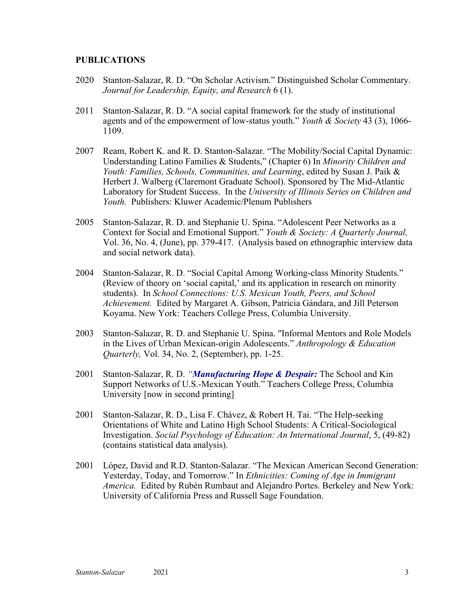#### **PUBLICATIONS**

- 2020 Stanton-Salazar, R. D. "On Scholar Activism." Distinguished Scholar Commentary. *Journal for Leadership, Equity, and Research* 6 (1).
- 2011 Stanton-Salazar, R. D. "A social capital framework for the study of institutional agents and of the empowerment of low-status youth." *Youth & Society* 43 (3), 1066- 1109.
- 2007 Ream, Robert K. and R. D. Stanton-Salazar. "The Mobility/Social Capital Dynamic: Understanding Latino Families & Students," (Chapter 6) In *Minority Children and Youth: Families, Schools, Communities, and Learning*, edited by Susan J. Paik & Herbert J. Walberg (Claremont Graduate School). Sponsored by The Mid-Atlantic Laboratory for Student Success. In the *University of Illinois Series on Children and Youth.* Publishers: Kluwer Academic/Plenum Publishers
- 2005 Stanton-Salazar, R. D. and Stephanie U. Spina. "Adolescent Peer Networks as a Context for Social and Emotional Support." *Youth & Society: A Quarterly Journal,* Vol. 36, No. 4, (June), pp. 379-417. (Analysis based on ethnographic interview data and social network data).
- 2004 Stanton-Salazar, R. D. "Social Capital Among Working-class Minority Students." (Review of theory on 'social capital,' and its application in research on minority students). In *School Connections: U.S. Mexican Youth, Peers, and School Achievement.* Edited by Margaret A. Gibson, Patricia Gándara, and Jill Peterson Koyama. New York: Teachers College Press, Columbia University.
- 2003 Stanton-Salazar, R. D. and Stephanie U. Spina. "Informal Mentors and Role Models in the Lives of Urban Mexican-origin Adolescents." *Anthropology & Education Quarterly,* Vol. 34, No. 2, (September), pp. 1-25.
- 2001 Stanton-Salazar, R. D. *"Manufacturing Hope & Despair:* The School and Kin Support Networks of U.S.-Mexican Youth." Teachers College Press, Columbia University [now in second printing]
- 2001 Stanton-Salazar, R. D., Lisa F. Chávez, & Robert H. Tai. "The Help-seeking Orientations of White and Latino High School Students: A Critical-Sociological Investigation. *Social Psychology of Education: An International Journal*, 5, (49-82) (contains statistical data analysis).
- 2001 López, David and R.D. Stanton-Salazar. "The Mexican American Second Generation: Yesterday, Today, and Tomorrow." In *Ethnicities: Coming of Age in Immigrant America.* Edited by Rubén Rumbaut and Alejandro Portes. Berkeley and New York: University of California Press and Russell Sage Foundation.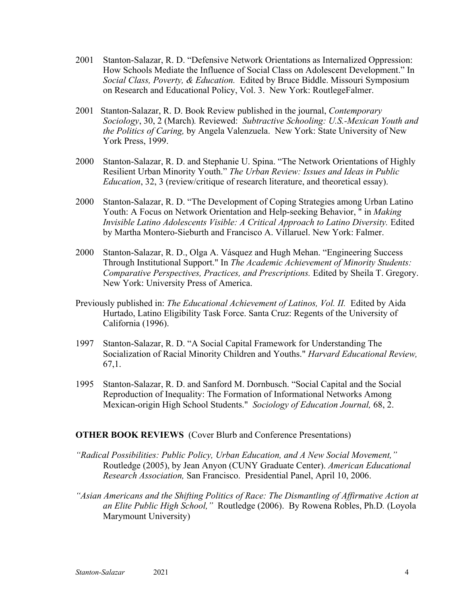- 2001 Stanton-Salazar, R. D. "Defensive Network Orientations as Internalized Oppression: How Schools Mediate the Influence of Social Class on Adolescent Development." In *Social Class, Poverty, & Education.* Edited by Bruce Biddle. Missouri Symposium on Research and Educational Policy, Vol. 3. New York: RoutlegeFalmer.
- 2001 Stanton-Salazar, R. D. Book Review published in the journal, *Contemporary Sociology*, 30, 2 (March)*.* Reviewed: *Subtractive Schooling: U.S.-Mexican Youth and the Politics of Caring,* by Angela Valenzuela. New York: State University of New York Press, 1999.
- 2000 Stanton-Salazar, R. D. and Stephanie U. Spina. "The Network Orientations of Highly Resilient Urban Minority Youth." *The Urban Review: Issues and Ideas in Public Education*, 32, 3 (review/critique of research literature, and theoretical essay).
- 2000 Stanton-Salazar, R. D. "The Development of Coping Strategies among Urban Latino Youth: A Focus on Network Orientation and Help-seeking Behavior, " in *Making Invisible Latino Adolescents Visible: A Critical Approach to Latino Diversity. Edited* by Martha Montero-Sieburth and Francisco A. Villaruel. New York: Falmer.
- 2000 Stanton-Salazar, R. D., Olga A. Vásquez and Hugh Mehan. "Engineering Success Through Institutional Support." In *The Academic Achievement of Minority Students: Comparative Perspectives, Practices, and Prescriptions.* Edited by Sheila T. Gregory. New York: University Press of America.
- Previously published in: *The Educational Achievement of Latinos, Vol. II.* Edited by Aida Hurtado, Latino Eligibility Task Force. Santa Cruz: Regents of the University of California (1996).
- 1997 Stanton-Salazar, R. D. "A Social Capital Framework for Understanding The Socialization of Racial Minority Children and Youths." *Harvard Educational Review,* 67,1.
- 1995 Stanton-Salazar, R. D. and Sanford M. Dornbusch. "Social Capital and the Social Reproduction of Inequality: The Formation of Informational Networks Among Mexican-origin High School Students." *Sociology of Education Journal,* 68, 2.

### **OTHER BOOK REVIEWS** (Cover Blurb and Conference Presentations)

- *"Radical Possibilities: Public Policy, Urban Education, and A New Social Movement,"* Routledge (2005), by Jean Anyon (CUNY Graduate Center). *American Educational Research Association,* San Francisco. Presidential Panel, April 10, 2006.
- *"Asian Americans and the Shifting Politics of Race: The Dismantling of Affirmative Action at an Elite Public High School,"* Routledge (2006). By Rowena Robles, Ph.D*.* (Loyola Marymount University)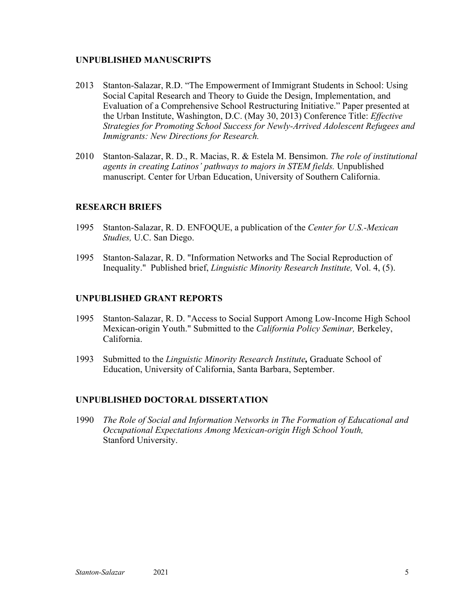### **UNPUBLISHED MANUSCRIPTS**

- 2013 Stanton-Salazar, R.D. "The Empowerment of Immigrant Students in School: Using Social Capital Research and Theory to Guide the Design, Implementation, and Evaluation of a Comprehensive School Restructuring Initiative." Paper presented at the Urban Institute, Washington, D.C. (May 30, 2013) Conference Title: *Effective Strategies for Promoting School Success for Newly-Arrived Adolescent Refugees and Immigrants: New Directions for Research.*
- 2010 Stanton-Salazar, R. D., R. Macias, R. & Estela M. Bensimon. *The role of institutional agents in creating Latinos' pathways to majors in STEM fields.* Unpublished manuscript. Center for Urban Education, University of Southern California.

# **RESEARCH BRIEFS**

- 1995 Stanton-Salazar, R. D. ENFOQUE, a publication of the *Center for U.S.-Mexican Studies,* U.C. San Diego.
- 1995 Stanton-Salazar, R. D. "Information Networks and The Social Reproduction of Inequality." Published brief, *Linguistic Minority Research Institute,* Vol. 4, (5).

### **UNPUBLISHED GRANT REPORTS**

- 1995 Stanton-Salazar, R. D. "Access to Social Support Among Low-Income High School Mexican-origin Youth." Submitted to the *California Policy Seminar,* Berkeley, California.
- 1993 Submitted to the *Linguistic Minority Research Institute,* Graduate School of Education, University of California, Santa Barbara, September.

### **UNPUBLISHED DOCTORAL DISSERTATION**

1990 *The Role of Social and Information Networks in The Formation of Educational and Occupational Expectations Among Mexican-origin High School Youth,* Stanford University.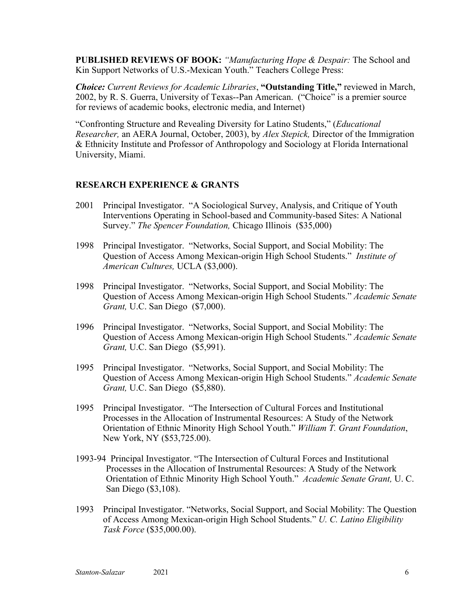**PUBLISHED REVIEWS OF BOOK:** *"Manufacturing Hope & Despair:* The School and Kin Support Networks of U.S.-Mexican Youth." Teachers College Press:

*Choice: Current Reviews for Academic Libraries*, **"Outstanding Title,"** reviewed in March, 2002, by R. S. Guerra, University of Texas--Pan American. ("Choice" is a premier source for reviews of academic books, electronic media, and Internet)

"Confronting Structure and Revealing Diversity for Latino Students," (*Educational Researcher,* an AERA Journal, October, 2003), by *Alex Stepick,* Director of the Immigration & Ethnicity Institute and Professor of Anthropology and Sociology at Florida International University, Miami.

# **RESEARCH EXPERIENCE & GRANTS**

- 2001 Principal Investigator. "A Sociological Survey, Analysis, and Critique of Youth Interventions Operating in School-based and Community-based Sites: A National Survey." *The Spencer Foundation,* Chicago Illinois (\$35,000)
- 1998 Principal Investigator. "Networks, Social Support, and Social Mobility: The Question of Access Among Mexican-origin High School Students." *Institute of American Cultures,* UCLA (\$3,000).
- 1998 Principal Investigator. "Networks, Social Support, and Social Mobility: The Question of Access Among Mexican-origin High School Students." *Academic Senate Grant,* U.C. San Diego (\$7,000).
- 1996 Principal Investigator. "Networks, Social Support, and Social Mobility: The Question of Access Among Mexican-origin High School Students." *Academic Senate Grant,* U.C. San Diego (\$5,991).
- 1995 Principal Investigator. "Networks, Social Support, and Social Mobility: The Question of Access Among Mexican-origin High School Students." *Academic Senate Grant,* U.C. San Diego (\$5,880).
- 1995 Principal Investigator. "The Intersection of Cultural Forces and Institutional Processes in the Allocation of Instrumental Resources: A Study of the Network Orientation of Ethnic Minority High School Youth." *William T. Grant Foundation*, New York, NY (\$53,725.00).
- 1993-94 Principal Investigator. "The Intersection of Cultural Forces and Institutional Processes in the Allocation of Instrumental Resources: A Study of the Network Orientation of Ethnic Minority High School Youth." *Academic Senate Grant,* U. C. San Diego (\$3,108).
- 1993 Principal Investigator. "Networks, Social Support, and Social Mobility: The Question of Access Among Mexican-origin High School Students." *U. C. Latino Eligibility Task Force* (\$35,000.00).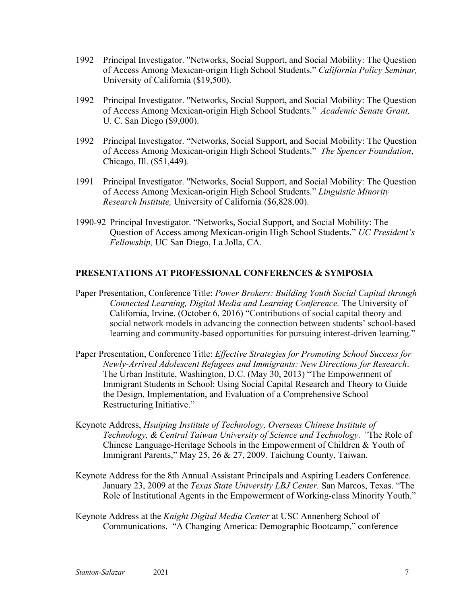- 1992 Principal Investigator. "Networks, Social Support, and Social Mobility: The Question of Access Among Mexican-origin High School Students." *California Policy Seminar,*  University of California (\$19,500).
- 1992 Principal Investigator. "Networks, Social Support, and Social Mobility: The Question of Access Among Mexican-origin High School Students." *Academic Senate Grant,* U. C. San Diego (\$9,000).
- 1992 Principal Investigator. "Networks, Social Support, and Social Mobility: The Question of Access Among Mexican-origin High School Students." *The Spencer Foundation*, Chicago, Ill. (\$51,449).
- 1991 Principal Investigator. "Networks, Social Support, and Social Mobility: The Question of Access Among Mexican-origin High School Students." *Linguistic Minority Research Institute,* University of California (\$6,828.00).
- 1990-92 Principal Investigator. "Networks, Social Support, and Social Mobility: The Question of Access among Mexican-origin High School Students." *UC President's Fellowship,* UC San Diego, La Jolla, CA.

# **PRESENTATIONS AT PROFESSIONAL CONFERENCES & SYMPOSIA**

- Paper Presentation, Conference Title: *Power Brokers: Building Youth Social Capital through Connected Learning, Digital Media and Learning Conference.* The University of California, Irvine. (October 6, 2016) "Contributions of social capital theory and social network models in advancing the connection between students' school-based learning and community-based opportunities for pursuing interest-driven learning."
- Paper Presentation, Conference Title: *Effective Strategies for Promoting School Success for Newly-Arrived Adolescent Refugees and Immigrants: New Directions for Research*. The Urban Institute, Washington, D.C. (May 30, 2013) "The Empowerment of Immigrant Students in School: Using Social Capital Research and Theory to Guide the Design, Implementation, and Evaluation of a Comprehensive School Restructuring Initiative."
- Keynote Address, *Hsuiping Institute of Technology, Overseas Chinese Institute of Technology, & Central Taiwan University of Science and Technology. "*The Role of Chinese Language-Heritage Schools in the Empowerment of Children & Youth of Immigrant Parents," May 25, 26 & 27, 2009. Taichung County, Taiwan.
- Keynote Address for the 8th Annual Assistant Principals and Aspiring Leaders Conference. January 23, 2009 at the *Texas State University LBJ Center.* San Marcos, Texas. "The Role of Institutional Agents in the Empowerment of Working-class Minority Youth."
- Keynote Address at the *Knight Digital Media Center* at USC Annenberg School of Communications. "A Changing America: Demographic Bootcamp," conference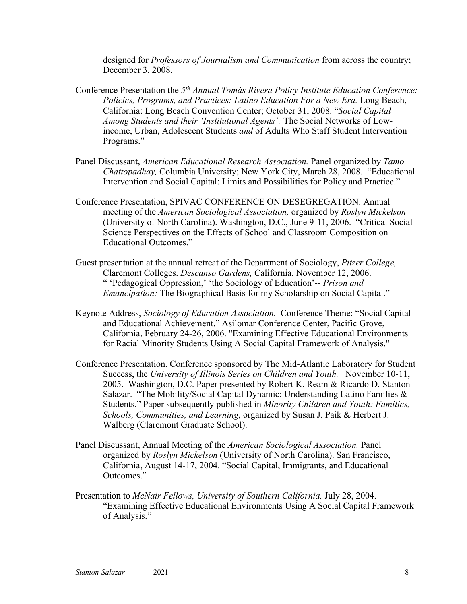designed for *Professors of Journalism and Communication* from across the country; December 3, 2008.

- Conference Presentation the *5th Annual Tomás Rivera Policy Institute Education Conference: Policies, Programs, and Practices: Latino Education For a New Era.* Long Beach, California: Long Beach Convention Center; October 31, 2008. "*Social Capital Among Students and their 'Institutional Agents':* The Social Networks of Lowincome, Urban, Adolescent Students *and* of Adults Who Staff Student Intervention Programs."
- Panel Discussant, *American Educational Research Association.* Panel organized by *Tamo Chattopadhay,* Columbia University; New York City, March 28, 2008. "Educational Intervention and Social Capital: Limits and Possibilities for Policy and Practice."
- Conference Presentation, SPIVAC CONFERENCE ON DESEGREGATION. Annual meeting of the *American Sociological Association,* organized by *Roslyn Mickelson* (University of North Carolina). Washington, D.C., June 9-11, 2006. "Critical Social Science Perspectives on the Effects of School and Classroom Composition on Educational Outcomes."
- Guest presentation at the annual retreat of the Department of Sociology, *Pitzer College,* Claremont Colleges. *Descanso Gardens,* California, November 12, 2006. " 'Pedagogical Oppression,' 'the Sociology of Education'-- *Prison and Emancipation:* The Biographical Basis for my Scholarship on Social Capital."
- Keynote Address, *Sociology of Education Association.* Conference Theme: "Social Capital and Educational Achievement." Asilomar Conference Center, Pacific Grove, California, February 24-26, 2006. "Examining Effective Educational Environments for Racial Minority Students Using A Social Capital Framework of Analysis."
- Conference Presentation. Conference sponsored by The Mid-Atlantic Laboratory for Student Success, the *University of Illinois Series on Children and Youth.* November 10-11, 2005. Washington, D.C. Paper presented by Robert K. Ream & Ricardo D. Stanton-Salazar. "The Mobility/Social Capital Dynamic: Understanding Latino Families & Students." Paper subsequently published in *Minority Children and Youth: Families, Schools, Communities, and Learning*, organized by Susan J. Paik & Herbert J. Walberg (Claremont Graduate School).
- Panel Discussant, Annual Meeting of the *American Sociological Association.* Panel organized by *Roslyn Mickelson* (University of North Carolina). San Francisco, California, August 14-17, 2004. "Social Capital, Immigrants, and Educational Outcomes."
- Presentation to *McNair Fellows, University of Southern California,* July 28, 2004. "Examining Effective Educational Environments Using A Social Capital Framework of Analysis."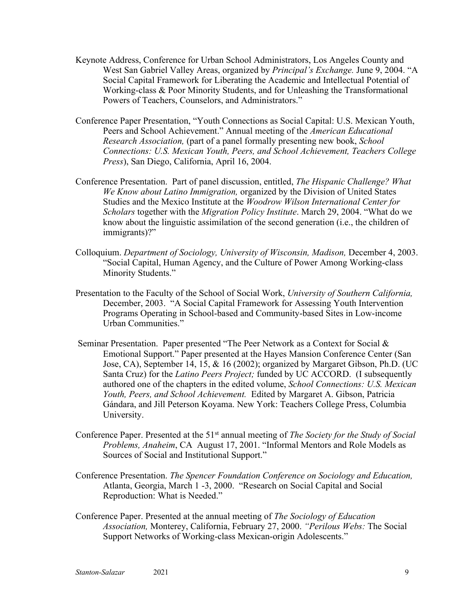- Keynote Address, Conference for Urban School Administrators, Los Angeles County and West San Gabriel Valley Areas, organized by *Principal's Exchange.* June 9, 2004. "A Social Capital Framework for Liberating the Academic and Intellectual Potential of Working-class & Poor Minority Students, and for Unleashing the Transformational Powers of Teachers, Counselors, and Administrators."
- Conference Paper Presentation, "Youth Connections as Social Capital: U.S. Mexican Youth, Peers and School Achievement." Annual meeting of the *American Educational Research Association,* (part of a panel formally presenting new book, *School Connections: U.S. Mexican Youth, Peers, and School Achievement, Teachers College Press*), San Diego, California, April 16, 2004.
- Conference Presentation. Part of panel discussion, entitled, *The Hispanic Challenge? What We Know about Latino Immigration,* organized by the Division of United States Studies and the Mexico Institute at the *Woodrow Wilson International Center for Scholars* together with the *Migration Policy Institute*. March 29, 2004. "What do we know about the linguistic assimilation of the second generation (i.e., the children of immigrants)?"
- Colloquium. *Department of Sociology, University of Wisconsin, Madison,* December 4, 2003. "Social Capital, Human Agency, and the Culture of Power Among Working-class Minority Students."
- Presentation to the Faculty of the School of Social Work, *University of Southern California,* December, 2003. "A Social Capital Framework for Assessing Youth Intervention Programs Operating in School-based and Community-based Sites in Low-income Urban Communities."
- Seminar Presentation. Paper presented "The Peer Network as a Context for Social & Emotional Support." Paper presented at the Hayes Mansion Conference Center (San Jose, CA), September 14, 15, & 16 (2002); organized by Margaret Gibson, Ph.D. (UC Santa Cruz) for the *Latino Peers Project;* funded by UC ACCORD. (I subsequently authored one of the chapters in the edited volume, *School Connections: U.S. Mexican Youth, Peers, and School Achievement.* Edited by Margaret A. Gibson, Patricia Gándara, and Jill Peterson Koyama. New York: Teachers College Press, Columbia University.
- Conference Paper. Presented at the 51st annual meeting of *The Society for the Study of Social Problems, Anaheim*, CA August 17, 2001. "Informal Mentors and Role Models as Sources of Social and Institutional Support."
- Conference Presentation. *The Spencer Foundation Conference on Sociology and Education,* Atlanta, Georgia, March 1 -3, 2000. "Research on Social Capital and Social Reproduction: What is Needed."
- Conference Paper. Presented at the annual meeting of *The Sociology of Education Association,* Monterey, California, February 27, 2000. *"Perilous Webs:* The Social Support Networks of Working-class Mexican-origin Adolescents."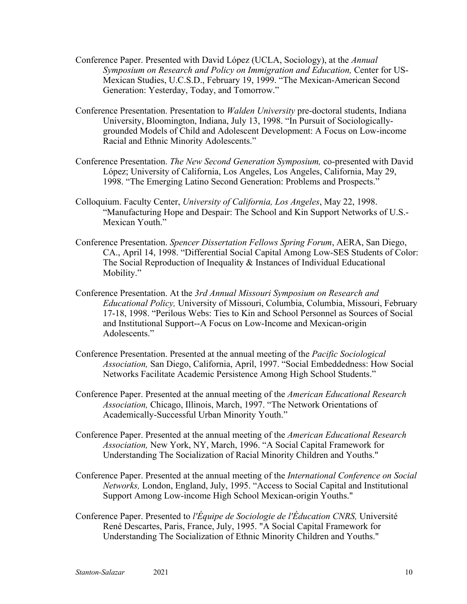- Conference Paper. Presented with David López (UCLA, Sociology), at the *Annual Symposium on Research and Policy on Immigration and Education,* Center for US-Mexican Studies, U.C.S.D., February 19, 1999. "The Mexican-American Second Generation: Yesterday, Today, and Tomorrow."
- Conference Presentation. Presentation to *Walden University* pre-doctoral students, Indiana University, Bloomington, Indiana, July 13, 1998. "In Pursuit of Sociologicallygrounded Models of Child and Adolescent Development: A Focus on Low-income Racial and Ethnic Minority Adolescents."
- Conference Presentation. *The New Second Generation Symposium,* co-presented with David López; University of California, Los Angeles, Los Angeles, California, May 29, 1998. "The Emerging Latino Second Generation: Problems and Prospects."
- Colloquium. Faculty Center, *University of California, Los Angeles*, May 22, 1998. "Manufacturing Hope and Despair: The School and Kin Support Networks of U.S.- Mexican Youth."
- Conference Presentation. *Spencer Dissertation Fellows Spring Forum*, AERA, San Diego, CA., April 14, 1998. "Differential Social Capital Among Low-SES Students of Color: The Social Reproduction of Inequality & Instances of Individual Educational Mobility."
- Conference Presentation. At the *3rd Annual Missouri Symposium on Research and Educational Policy,* University of Missouri, Columbia, Columbia, Missouri, February 17-18, 1998. "Perilous Webs: Ties to Kin and School Personnel as Sources of Social and Institutional Support--A Focus on Low-Income and Mexican-origin Adolescents."
- Conference Presentation. Presented at the annual meeting of the *Pacific Sociological Association,* San Diego, California, April, 1997. "Social Embeddedness: How Social Networks Facilitate Academic Persistence Among High School Students."
- Conference Paper. Presented at the annual meeting of the *American Educational Research Association,* Chicago, Illinois, March, 1997. "The Network Orientations of Academically-Successful Urban Minority Youth."
- Conference Paper. Presented at the annual meeting of the *American Educational Research Association,* New York, NY, March, 1996. "A Social Capital Framework for Understanding The Socialization of Racial Minority Children and Youths."
- Conference Paper. Presented at the annual meeting of the *International Conference on Social Networks,* London, England, July, 1995. "Access to Social Capital and Institutional Support Among Low-income High School Mexican-origin Youths."
- Conference Paper. Presented to *l'Équipe de Sociologie de l'Éducation CNRS,* Université René Descartes, Paris, France, July, 1995. "A Social Capital Framework for Understanding The Socialization of Ethnic Minority Children and Youths."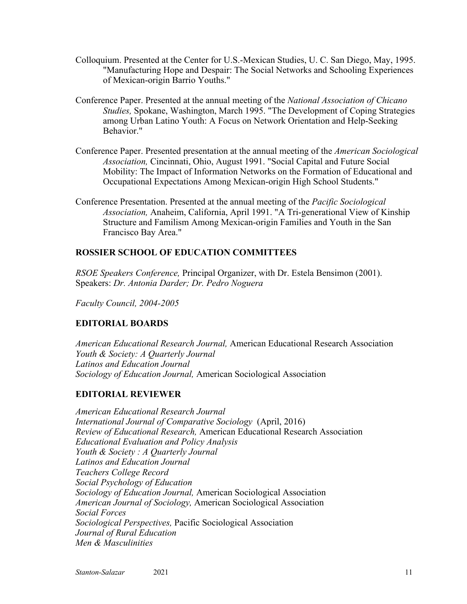- Colloquium. Presented at the Center for U.S.-Mexican Studies, U. C. San Diego, May, 1995. "Manufacturing Hope and Despair: The Social Networks and Schooling Experiences of Mexican-origin Barrio Youths."
- Conference Paper. Presented at the annual meeting of the *National Association of Chicano Studies,* Spokane, Washington, March 1995. "The Development of Coping Strategies among Urban Latino Youth: A Focus on Network Orientation and Help-Seeking Behavior."
- Conference Paper. Presented presentation at the annual meeting of the *American Sociological Association,* Cincinnati, Ohio, August 1991. "Social Capital and Future Social Mobility: The Impact of Information Networks on the Formation of Educational and Occupational Expectations Among Mexican-origin High School Students."
- Conference Presentation. Presented at the annual meeting of the *Pacific Sociological Association,* Anaheim, California, April 1991. "A Tri-generational View of Kinship Structure and Familism Among Mexican-origin Families and Youth in the San Francisco Bay Area."

# **ROSSIER SCHOOL OF EDUCATION COMMITTEES**

*RSOE Speakers Conference,* Principal Organizer, with Dr. Estela Bensimon (2001). Speakers: *Dr. Antonia Darder; Dr. Pedro Noguera*

*Faculty Council, 2004-2005*

# **EDITORIAL BOARDS**

*American Educational Research Journal,* American Educational Research Association *Youth & Society: A Quarterly Journal Latinos and Education Journal Sociology of Education Journal,* American Sociological Association

# **EDITORIAL REVIEWER**

*American Educational Research Journal International Journal of Comparative Sociology* (April, 2016) *Review of Educational Research,* American Educational Research Association *Educational Evaluation and Policy Analysis Youth & Society : A Quarterly Journal Latinos and Education Journal Teachers College Record Social Psychology of Education Sociology of Education Journal,* American Sociological Association *American Journal of Sociology,* American Sociological Association *Social Forces Sociological Perspectives,* Pacific Sociological Association *Journal of Rural Education Men & Masculinities*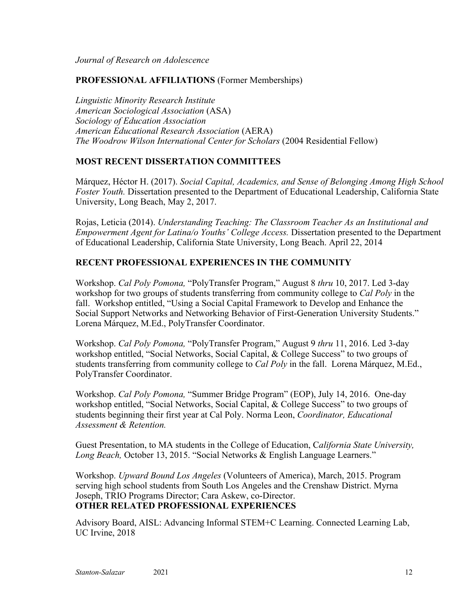*Journal of Research on Adolescence*

### **PROFESSIONAL AFFILIATIONS** (Former Memberships)

*Linguistic Minority Research Institute American Sociological Association* (ASA) *Sociology of Education Association American Educational Research Association* (AERA) *The Woodrow Wilson International Center for Scholars* (2004 Residential Fellow)

# **MOST RECENT DISSERTATION COMMITTEES**

Márquez, Héctor H. (2017). *Social Capital, Academics, and Sense of Belonging Among High School Foster Youth.* Dissertation presented to the Department of Educational Leadership, California State University, Long Beach, May 2, 2017.

Rojas, Leticia (2014). *Understanding Teaching: The Classroom Teacher As an Institutional and Empowerment Agent for Latina/o Youths' College Access.* Dissertation presented to the Department of Educational Leadership, California State University, Long Beach. April 22, 2014

# **RECENT PROFESSIONAL EXPERIENCES IN THE COMMUNITY**

Workshop. *Cal Poly Pomona,* "PolyTransfer Program," August 8 *thru* 10, 2017. Led 3-day workshop for two groups of students transferring from community college to *Cal Poly* in the fall. Workshop entitled, "Using a Social Capital Framework to Develop and Enhance the Social Support Networks and Networking Behavior of First-Generation University Students." Lorena Márquez, M.Ed., PolyTransfer Coordinator.

Workshop. *Cal Poly Pomona,* "PolyTransfer Program," August 9 *thru* 11, 2016. Led 3-day workshop entitled, "Social Networks, Social Capital, & College Success" to two groups of students transferring from community college to *Cal Poly* in the fall. Lorena Márquez, M.Ed., PolyTransfer Coordinator.

Workshop. *Cal Poly Pomona,* "Summer Bridge Program" (EOP), July 14, 2016. One-day workshop entitled, "Social Networks, Social Capital, & College Success" to two groups of students beginning their first year at Cal Poly. Norma Leon, *Coordinator, Educational Assessment & Retention.*

Guest Presentation, to MA students in the College of Education, C*alifornia State University, Long Beach,* October 13, 2015. "Social Networks & English Language Learners."

Workshop. *Upward Bound Los Angeles* (Volunteers of America), March, 2015. Program serving high school students from South Los Angeles and the Crenshaw District. Myrna Joseph, TRIO Programs Director; Cara Askew, co-Director. **OTHER RELATED PROFESSIONAL EXPERIENCES** 

Advisory Board, AISL: Advancing Informal STEM+C Learning. Connected Learning Lab, UC Irvine, 2018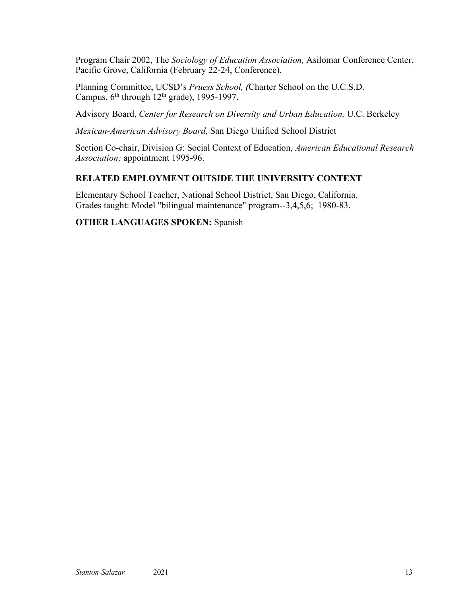Program Chair 2002, The *Sociology of Education Association,* Asilomar Conference Center, Pacific Grove, California (February 22-24, Conference).

Planning Committee, UCSD's *Pruess School, (*Charter School on the U.C.S.D. Campus,  $6<sup>th</sup>$  through  $12<sup>th</sup>$  grade), 1995-1997.

Advisory Board, *Center for Research on Diversity and Urban Education,* U.C. Berkeley

*Mexican-American Advisory Board,* San Diego Unified School District

Section Co-chair, Division G: Social Context of Education, *American Educational Research Association;* appointment 1995-96.

# **RELATED EMPLOYMENT OUTSIDE THE UNIVERSITY CONTEXT**

Elementary School Teacher, National School District, San Diego, California. Grades taught: Model "bilingual maintenance" program--3,4,5,6; 1980-83.

# **OTHER LANGUAGES SPOKEN:** Spanish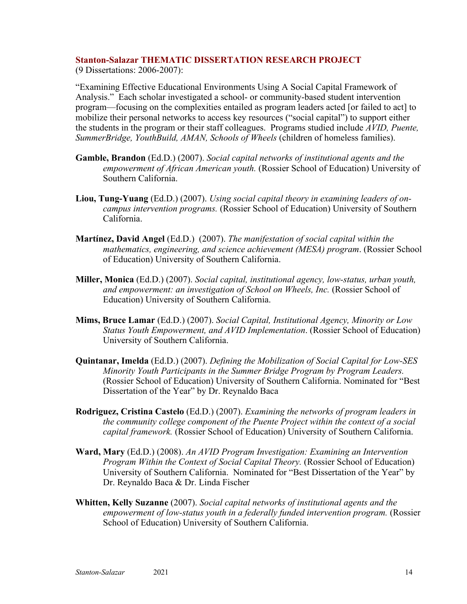### **Stanton-Salazar THEMATIC DISSERTATION RESEARCH PROJECT**

(9 Dissertations: 2006-2007):

"Examining Effective Educational Environments Using A Social Capital Framework of Analysis." Each scholar investigated a school- or community-based student intervention program—focusing on the complexities entailed as program leaders acted [or failed to act] to mobilize their personal networks to access key resources ("social capital") to support either the students in the program or their staff colleagues. Programs studied include *AVID, Puente, SummerBridge, YouthBuild, AMAN, Schools of Wheels* (children of homeless families).

- **Gamble, Brandon** (Ed.D.) (2007). *Social capital networks of institutional agents and the empowerment of African American youth.* (Rossier School of Education) University of Southern California.
- **Liou, Tung-Yuang** (Ed.D.) (2007). *Using social capital theory in examining leaders of oncampus intervention programs.* (Rossier School of Education) University of Southern California.
- **Martínez, David Angel** (Ed.D.) (2007). *The manifestation of social capital within the mathematics, engineering, and science achievement (MESA) program*. (Rossier School of Education) University of Southern California.
- **Miller, Monica** (Ed.D.) (2007). *Social capital, institutional agency, low-status, urban youth, and empowerment: an investigation of School on Wheels, Inc.* (Rossier School of Education) University of Southern California.
- **Mims, Bruce Lamar** (Ed.D.) (2007). *Social Capital, Institutional Agency, Minority or Low Status Youth Empowerment, and AVID Implementation*. (Rossier School of Education) University of Southern California.
- **Quintanar, Imelda** (Ed.D.) (2007). *Defining the Mobilization of Social Capital for Low-SES Minority Youth Participants in the Summer Bridge Program by Program Leaders.*  (Rossier School of Education) University of Southern California. Nominated for "Best Dissertation of the Year" by Dr. Reynaldo Baca
- **Rodriguez, Cristina Castelo** (Ed.D.) (2007). *Examining the networks of program leaders in the community college component of the Puente Project within the context of a social capital framework.* (Rossier School of Education) University of Southern California.
- **Ward, Mary** (Ed.D.) (2008). *An AVID Program Investigation: Examining an Intervention Program Within the Context of Social Capital Theory.* (Rossier School of Education) University of Southern California. Nominated for "Best Dissertation of the Year" by Dr. Reynaldo Baca & Dr. Linda Fischer
- **Whitten, Kelly Suzanne** (2007). *Social capital networks of institutional agents and the empowerment of low-status youth in a federally funded intervention program.* (Rossier School of Education) University of Southern California.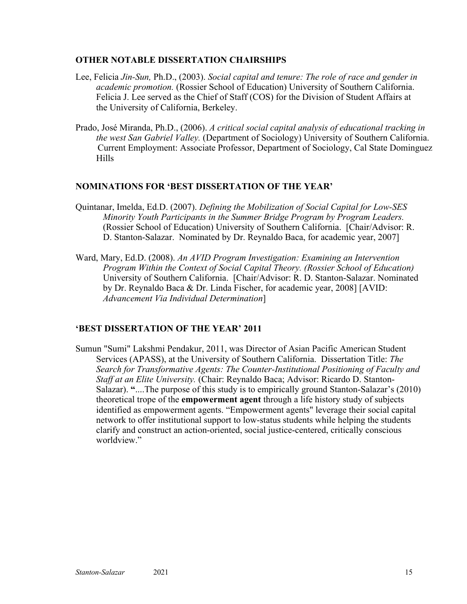### **OTHER NOTABLE DISSERTATION CHAIRSHIPS**

- Lee, Felicia *Jin-Sun,* Ph.D., (2003). *Social capital and tenure: The role of race and gender in academic promotion.* (Rossier School of Education) University of Southern California. Felicia J. Lee served as the Chief of Staff (COS) for the Division of Student Affairs at the University of California, Berkeley.
- Prado, José Miranda, Ph.D., (2006). *A critical social capital analysis of educational tracking in the west San Gabriel Valley.* (Department of Sociology) University of Southern California. Current Employment: Associate Professor, Department of Sociology, Cal State Dominguez Hills

#### **NOMINATIONS FOR 'BEST DISSERTATION OF THE YEAR'**

- Quintanar, Imelda, Ed.D. (2007). *Defining the Mobilization of Social Capital for Low-SES Minority Youth Participants in the Summer Bridge Program by Program Leaders.* (Rossier School of Education) University of Southern California. [Chair/Advisor: R. D. Stanton-Salazar. Nominated by Dr. Reynaldo Baca, for academic year, 2007]
- Ward, Mary, Ed.D. (2008). *An AVID Program Investigation: Examining an Intervention Program Within the Context of Social Capital Theory. (Rossier School of Education)* University of Southern California. [Chair/Advisor: R. D. Stanton-Salazar. Nominated by Dr. Reynaldo Baca & Dr. Linda Fischer, for academic year, 2008] [AVID: *Advancement Via Individual Determination*]

### **'BEST DISSERTATION OF THE YEAR' 2011**

Sumun "Sumi" Lakshmi Pendakur, 2011, was Director of Asian Pacific American Student Services (APASS), at the University of Southern California. Dissertation Title: *The Search for Transformative Agents: The Counter-Institutional Positioning of Faculty and Staff at an Elite University.* (Chair: Reynaldo Baca; Advisor: Ricardo D. Stanton-Salazar). **"**....The purpose of this study is to empirically ground Stanton-Salazar's (2010) theoretical trope of the **empowerment agent** through a life history study of subjects identified as empowerment agents. "Empowerment agents" leverage their social capital network to offer institutional support to low-status students while helping the students clarify and construct an action-oriented, social justice-centered, critically conscious worldview."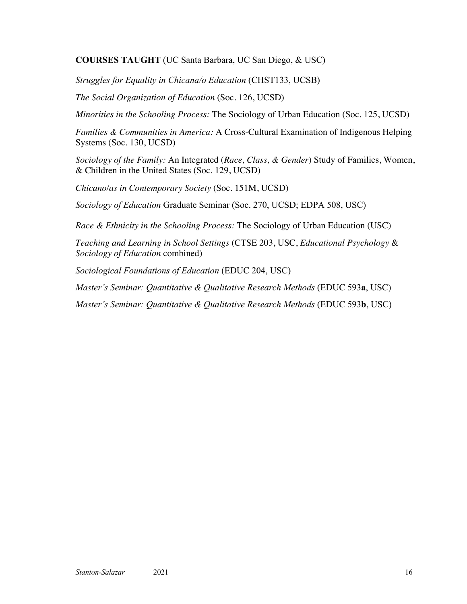**COURSES TAUGHT** (UC Santa Barbara, UC San Diego, & USC)

*Struggles for Equality in Chicana/o Education* (CHST133, UCSB)

*The Social Organization of Education* (Soc. 126, UCSD)

*Minorities in the Schooling Process:* The Sociology of Urban Education (Soc. 125, UCSD)

*Families & Communities in America:* A Cross-Cultural Examination of Indigenous Helping Systems (Soc. 130, UCSD)

*Sociology of the Family:* An Integrated (*Race, Class, & Gender*) Study of Families, Women, & Children in the United States (Soc. 129, UCSD)

*Chicano/as in Contemporary Society* (Soc. 151M, UCSD)

*Sociology of Education* Graduate Seminar (Soc. 270, UCSD; EDPA 508, USC)

*Race & Ethnicity in the Schooling Process:* The Sociology of Urban Education (USC)

*Teaching and Learning in School Settings* (CTSE 203, USC, *Educational Psychology* & *Sociology of Education* combined)

*Sociological Foundations of Education* (EDUC 204, USC)

*Master's Seminar: Quantitative & Qualitative Research Methods* (EDUC 593**a**, USC)

*Master's Seminar: Quantitative & Qualitative Research Methods* (EDUC 593**b**, USC)